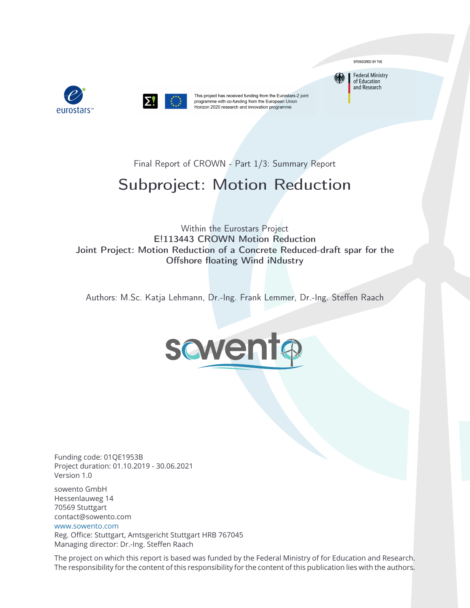



This project has received funding from the Eurostars-2 joint programme with co-funding from the European Union Horizon 2020 research and innovation programme

SPONSORED BY THE

**Federal Ministry** of Education and Research

Final Report of CROWN - Part 1/3: Summary Report

# Subproject: Motion Reduction

Within the Eurostars Project E!113443 CROWN Motion Reduction Joint Project: Motion Reduction of a Concrete Reduced-draft spar for the Offshore floating Wind iNdustry

Authors: M.Sc. Katja Lehmann, Dr.-Ing. Frank Lemmer, Dr.-Ing. Steffen Raach



Funding code: 01QE1953B Project duration: 01.10.2019 - 30.06.2021 Version 1.0

sowento GmbH Hessenlauweg 14 70569 Stuttgart contact@sowento.com <www.sowento.com>

Reg. Office: Stuttgart, Amtsgericht Stuttgart HRB 767045 Managing director: Dr.-Ing. Steffen Raach

The project on which this report is based was funded by the Federal Ministry of for Education and Research. The responsibility for the content of this responsibility for the content of this publication lies with the authors.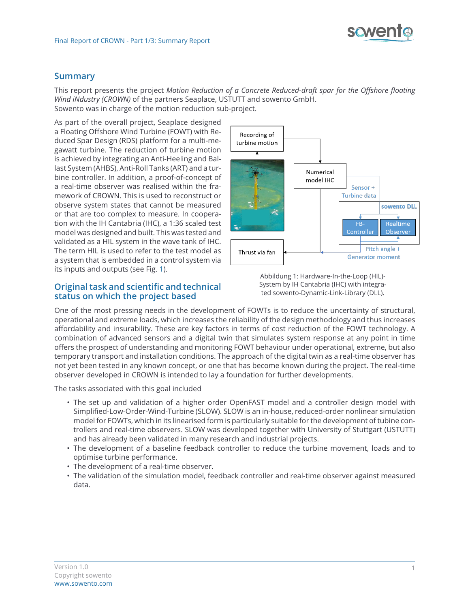## **Summary**

This report presents the project *Motion Reduction of a Concrete Reduced-draft spar for the Offshore floating Wind iNdustry (CROWN)* of the partners Seaplace, USTUTT and sowento GmbH. Sowento was in charge of the motion reduction sub-project.

<span id="page-1-0"></span>As part of the overall project, Seaplace designed a Floating Offshore Wind Turbine (FOWT) with Reduced Spar Design (RDS) platform for a multi-megawatt turbine. The reduction of turbine motion is achieved by integrating an Anti-Heeling and Ballast System (AHBS), Anti-Roll Tanks (ART) and a turbine controller. In addition, a proof-of-concept of a real-time observer was realised within the framework of CROWN. This is used to reconstruct or observe system states that cannot be measured or that are too complex to measure. In cooperation with the IH Cantabria (IHC), a 1:36 scaled test model was designed and built. This was tested and validated as a HIL system in the wave tank of IHC. The term HIL is used to refer to the test model as a system that is embedded in a control system via its inputs and outputs (see Fig. [1\)](#page-1-0).

#### **Original task and scientific and technical status on which the project based**



Abbildung 1: Hardware-In-the-Loop (HIL)- System by IH Cantabria (IHC) with integrated sowento-Dynamic-Link-Library (DLL).

One of the most pressing needs in the development of FOWTs is to reduce the uncertainty of structural, operational and extreme loads, which increases the reliability of the design methodology and thus increases affordability and insurability. These are key factors in terms of cost reduction of the FOWT technology. A combination of advanced sensors and a digital twin that simulates system response at any point in time offers the prospect of understanding and monitoring FOWT behaviour under operational, extreme, but also temporary transport and installation conditions. The approach of the digital twin as a real-time observer has not yet been tested in any known concept, or one that has become known during the project. The real-time observer developed in CROWN is intended to lay a foundation for further developments.

The tasks associated with this goal included

- The set up and validation of a higher order OpenFAST model and a controller design model with Simplified-Low-Order-Wind-Turbine (SLOW). SLOW is an in-house, reduced-order nonlinear simulation model for FOWTs, which in its linearised form is particularly suitable for the development of tubine controllers and real-time observers. SLOW was developed together with University of Stuttgart (USTUTT) and has already been validated in many research and industrial projects.
- The development of a baseline feedback controller to reduce the turbine movement, loads and to optimise turbine performance.
- The development of a real-time observer.
- The validation of the simulation model, feedback controller and real-time observer against measured data.